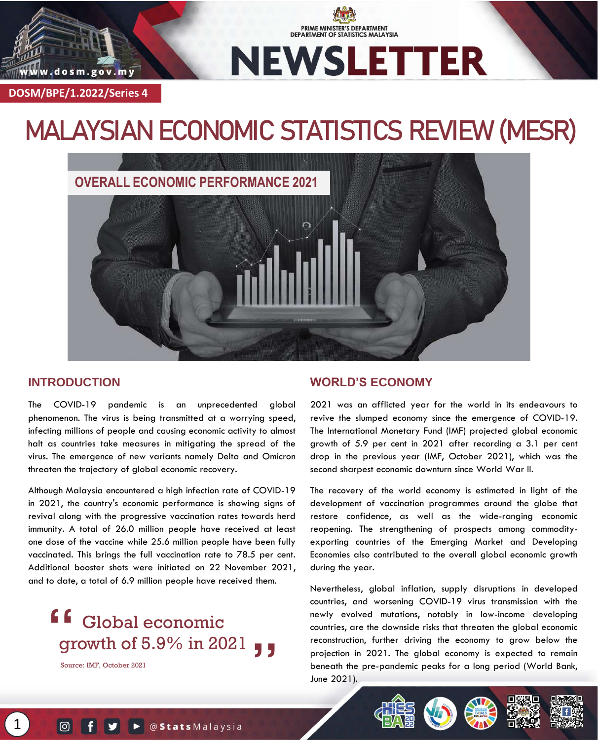

PRIME MINISTER'S DEPARTMENT **DEPARTMENT OF STATISTICS MALAYSIA** 

**DOSM/BPE/1.2022/Series 4**

www.dosm.gov.my

# **MALAYSIAN ECONOMIC STATISTICS REVIEW (MESR)**



### **INTRODUCTION**

The COVID-19 pandemic is an unprecedented global phenomenon. The virus is being transmitted at a worrying speed, infecting millions of people and causing economic activity to almost halt as countries take measures in mitigating the spread of the virus. The emergence of new variants namely Delta and Omicron threaten the trajectory of global economic recovery.

Although Malaysia encountered a high infection rate of COVID-19 in 2021, the country's economic performance is showing signs of revival along with the progressive vaccination rates towards herd immunity. A total of 26.0 million people have received at least one dose of the vaccine while 25.6 million people have been fully vaccinated. This brings the full vaccination rate to 78.5 per cent. Additional booster shots were initiated on 22 November 2021, and to date, a total of 6.9 million people have received them.

## **f** Global economic growth of 5.9% in 2021 **"**

Source: IMF, October 2021

1

### **WORLD'S ECONOMY**

2021 was an afflicted year for the world in its endeavours to revive the slumped economy since the emergence of COVID-19. The International Monetary Fund (IMF) projected global economic growth of 5.9 per cent in 2021 after recording a 3.1 per cent drop in the previous year (IMF, October 2021), which was the second sharpest economic downturn since World War II.

The recovery of the world economy is estimated in light of the development of vaccination programmes around the globe that restore confidence, as well as the wide-ranging economic reopening. The strengthening of prospects among commodityexporting countries of the Emerging Market and Developing Economies also contributed to the overall global economic growth during the year.

Nevertheless, global inflation, supply disruptions in developed countries, and worsening COVID-19 virus transmission with the newly evolved mutations, notably in low-income developing countries, are the downside risks that threaten the global economic reconstruction, further driving the economy to grow below the projection in 2021. The global economy is expected to remain beneath the pre-pandemic peaks for a long period (World Bank, June 2021).





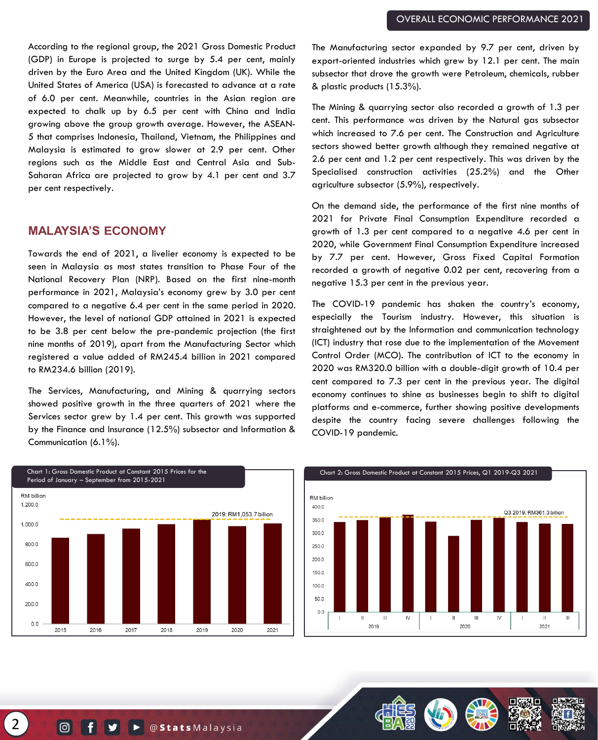According to the regional group, the 2021 Gross Domestic Product (GDP) in Europe is projected to surge by 5.4 per cent, mainly driven by the Euro Area and the United Kingdom (UK). While the United States of America (USA) is forecasted to advance at a rate of 6.0 per cent. Meanwhile, countries in the Asian region are expected to chalk up by 6.5 per cent with China and India growing above the group growth average. However, the ASEAN-5 that comprises Indonesia, Thailand, Vietnam, the Philippines and Malaysia is estimated to grow slower at 2.9 per cent. Other regions such as the Middle East and Central Asia and Sub-Saharan Africa are projected to grow by 4.1 per cent and 3.7 per cent respectively.

#### **MALAYSIA'S ECONOMY**

Towards the end of 2021, a livelier economy is expected to be seen in Malaysia as most states transition to Phase Four of the National Recovery Plan (NRP). Based on the first nine-month performance in 2021, Malaysia's economy grew by 3.0 per cent compared to a negative 6.4 per cent in the same period in 2020. However, the level of national GDP attained in 2021 is expected to be 3.8 per cent below the pre-pandemic projection (the first nine months of 2019), apart from the Manufacturing Sector which registered a value added of RM245.4 billion in 2021 compared to RM234.6 billion (2019).

The Services, Manufacturing, and Mining & quarrying sectors showed positive growth in the three quarters of 2021 where the Services sector grew by 1.4 per cent. This growth was supported by the Finance and Insurance (12.5%) subsector and Information & Communication (6.1%).

The Manufacturing sector expanded by 9.7 per cent, driven by export-oriented industries which grew by 12.1 per cent. The main subsector that drove the growth were Petroleum, chemicals, rubber & plastic products (15.3%).

The Mining & quarrying sector also recorded a growth of 1.3 per cent. This performance was driven by the Natural gas subsector which increased to 7.6 per cent. The Construction and Agriculture sectors showed better growth although they remained negative at 2.6 per cent and 1.2 per cent respectively. This was driven by the Specialised construction activities (25.2%) and the Other agriculture subsector (5.9%), respectively.

On the demand side, the performance of the first nine months of 2021 for Private Final Consumption Expenditure recorded a growth of 1.3 per cent compared to a negative 4.6 per cent in 2020, while Government Final Consumption Expenditure increased by 7.7 per cent. However, Gross Fixed Capital Formation recorded a growth of negative 0.02 per cent, recovering from a negative 15.3 per cent in the previous year.

The COVID-19 pandemic has shaken the country's economy, especially the Tourism industry. However, this situation is straightened out by the Information and communication technology (ICT) industry that rose due to the implementation of the Movement Control Order (MCO). The contribution of ICT to the economy in 2020 was RM320.0 billion with a double-digit growth of 10.4 per cent compared to 7.3 per cent in the previous year. The digital economy continues to shine as businesses begin to shift to digital platforms and e-commerce, further showing positive developments despite the country facing severe challenges following the COVID-19 pandemic.

 $\mathop{\mathrm{III}}\nolimits$ 



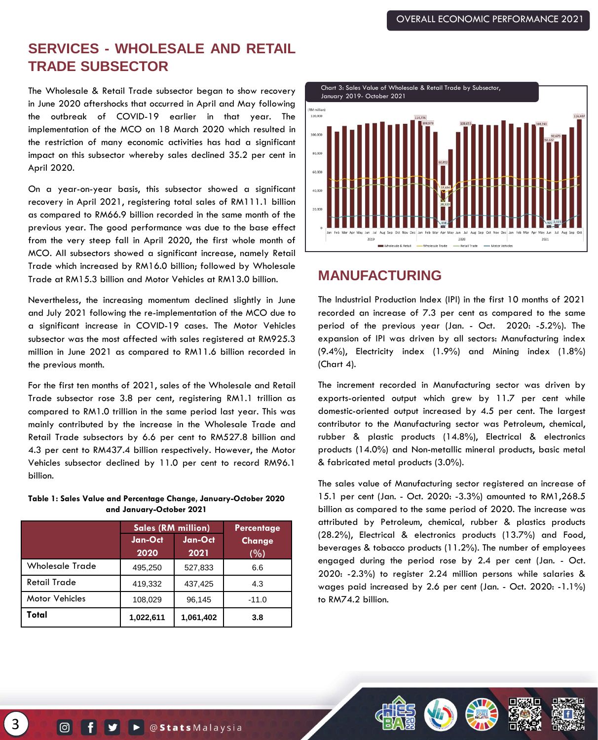## **SERVICES - WHOLESALE AND RETAIL TRADE SUBSECTOR**

The Wholesale & Retail Trade subsector began to show recovery in June 2020 aftershocks that occurred in April and May following the outbreak of COVID-19 earlier in that year. The implementation of the MCO on 18 March 2020 which resulted in the restriction of many economic activities has had a significant impact on this subsector whereby sales declined 35.2 per cent in April 2020.

On a year-on-year basis, this subsector showed a significant recovery in April 2021, registering total sales of RM111.1 billion as compared to RM66.9 billion recorded in the same month of the previous year. The good performance was due to the base effect from the very steep fall in April 2020, the first whole month of MCO. All subsectors showed a significant increase, namely Retail Trade which increased by RM16.0 billion; followed by Wholesale Trade at RM15.3 billion and Motor Vehicles at RM13.0 billion.

Nevertheless, the increasing momentum declined slightly in June and July 2021 following the re-implementation of the MCO due to a significant increase in COVID-19 cases. The Motor Vehicles subsector was the most affected with sales registered at RM925.3 million in June 2021 as compared to RM11.6 billion recorded in the previous month.

For the first ten months of 2021, sales of the Wholesale and Retail Trade subsector rose 3.8 per cent, registering RM1.1 trillion as compared to RM1.0 trillion in the same period last year. This was mainly contributed by the increase in the Wholesale Trade and Retail Trade subsectors by 6.6 per cent to RM527.8 billion and 4.3 per cent to RM437.4 billion respectively. However, the Motor Vehicles subsector declined by 11.0 per cent to record RM96.1 billion.

**Table 1: Sales Value and Percentage Change, January-October 2020 and January-October 2021**

|                        | <b>Sales (RM million)</b> | Percentage      |               |
|------------------------|---------------------------|-----------------|---------------|
|                        | Jan-Oct<br>2020           | Jan-Oct<br>2021 | Change<br>(%) |
| <b>Wholesale Trade</b> | 495,250                   | 527,833         | 6.6           |
| <b>Retail Trade</b>    | 419,332                   | 437,425         | 4.3           |
| <b>Motor Vehicles</b>  | 108,029                   | 96,145          | $-11.0$       |
| Total                  | 1,022,611                 | 1,061,402       | 3.8           |



## **MANUFACTURING**

The Industrial Production Index (IPI) in the first 10 months of 2021 recorded an increase of 7.3 per cent as compared to the same period of the previous year (Jan. - Oct. 2020: -5.2%). The expansion of IPI was driven by all sectors: Manufacturing index (9.4%), Electricity index (1.9%) and Mining index (1.8%) (Chart 4).

The increment recorded in Manufacturing sector was driven by exports-oriented output which grew by 11.7 per cent while domestic-oriented output increased by 4.5 per cent. The largest contributor to the Manufacturing sector was Petroleum, chemical, rubber & plastic products (14.8%), Electrical & electronics products (14.0%) and Non-metallic mineral products, basic metal & fabricated metal products (3.0%).

The sales value of Manufacturing sector registered an increase of 15.1 per cent (Jan. - Oct. 2020: -3.3%) amounted to RM1,268.5 billion as compared to the same period of 2020. The increase was attributed by Petroleum, chemical, rubber & plastics products (28.2%), Electrical & electronics products (13.7%) and Food, beverages & tobacco products (11.2%). The number of employees engaged during the period rose by 2.4 per cent (Jan. - Oct. 2020: -2.3%) to register 2.24 million persons while salaries & wages paid increased by 2.6 per cent (Jan. - Oct. 2020: -1.1%) to RM74.2 billion.

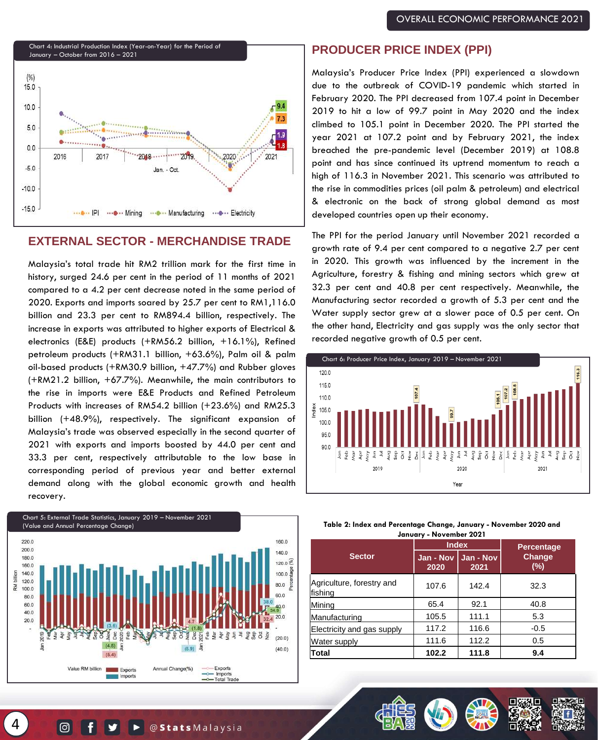

### **EXTERNAL SECTOR - MERCHANDISE TRADE**

Malaysia's total trade hit RM2 trillion mark for the first time in history, surged 24.6 per cent in the period of 11 months of 2021 compared to a 4.2 per cent decrease noted in the same period of 2020. Exports and imports soared by 25.7 per cent to RM1,116.0 billion and 23.3 per cent to RM894.4 billion, respectively. The increase in exports was attributed to higher exports of Electrical & electronics (E&E) products (+RM56.2 billion, +16.1%), Refined petroleum products (+RM31.1 billion, +63.6%), Palm oil & palm oil-based products (+RM30.9 billion, +47.7%) and Rubber gloves (+RM21.2 billion, +67.7%). Meanwhile, the main contributors to the rise in imports were E&E Products and Refined Petroleum Products with increases of RM54.2 billion (+23.6%) and RM25.3 billion (+48.9%), respectively. The significant expansion of Malaysia's trade was observed especially in the second quarter of 2021 with exports and imports boosted by 44.0 per cent and 33.3 per cent, respectively attributable to the low base in corresponding period of previous year and better external demand along with the global economic growth and health recovery.



#### **PRODUCER PRICE INDEX (PPI)**

Malaysia's Producer Price Index (PPI) experienced a slowdown due to the outbreak of COVID-19 pandemic which started in February 2020. The PPI decreased from 107.4 point in December 2019 to hit a low of 99.7 point in May 2020 and the index climbed to 105.1 point in December 2020. The PPI started the year 2021 at 107.2 point and by February 2021, the index breached the pre-pandemic level (December 2019) at 108.8 point and has since continued its uptrend momentum to reach a high of 116.3 in November 2021. This scenario was attributed to the rise in commodities prices (oil palm & petroleum) and electrical & electronic on the back of strong global demand as most developed countries open up their economy.

The PPI for the period January until November 2021 recorded a growth rate of 9.4 per cent compared to a negative 2.7 per cent in 2020. This growth was influenced by the increment in the Agriculture, forestry & fishing and mining sectors which grew at 32.3 per cent and 40.8 per cent respectively. Meanwhile, the Manufacturing sector recorded a growth of 5.3 per cent and the Water supply sector grew at a slower pace of 0.5 per cent. On the other hand, Electricity and gas supply was the only sector that recorded negative growth of 0.5 per cent.



| Table 2: Index and Percentage Change, January - November 2020 and |
|-------------------------------------------------------------------|
| January - November 2021                                           |

|                                      | <b>Index</b>      |                   | <b>Percentage</b>    |  |
|--------------------------------------|-------------------|-------------------|----------------------|--|
| <b>Sector</b>                        | Jan - Nov<br>2020 | Jan - Nov<br>2021 | <b>Change</b><br>(%) |  |
| Agriculture, forestry and<br>fishing | 107.6             | 142.4             | 32.3                 |  |
| Mining                               | 65.4              | 92.1              | 40.8                 |  |
| Manufacturing                        | 105.5             | 111.1             | 5.3                  |  |
| Electricity and gas supply           | 117.2             | 116.6             | $-0.5$               |  |
| <b>Water supply</b>                  | 111.6             | 112.2             | 0.5                  |  |
| Total                                | 102.2             | 111.8             | 9.4                  |  |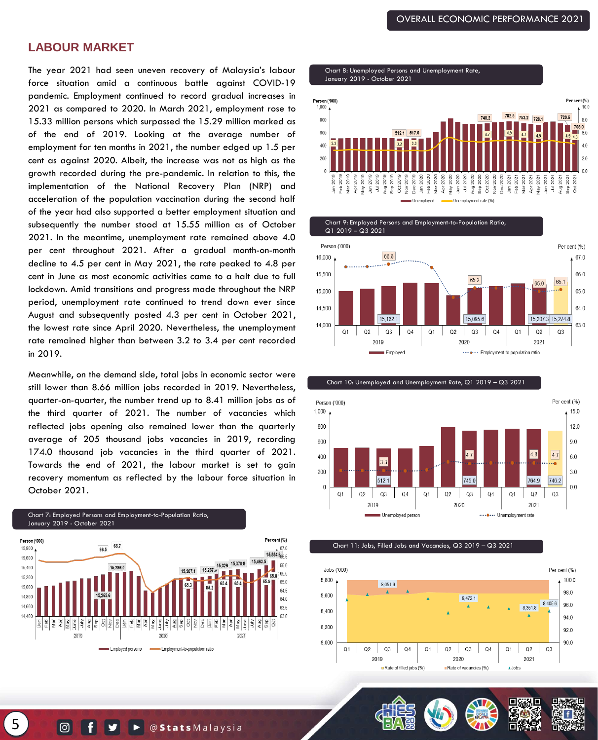#### **LABOUR MARKET**

The year 2021 had seen uneven recovery of Malaysia's labour force situation amid a continuous battle against COVID-19 pandemic. Employment continued to record gradual increases in 2021 as compared to 2020. In March 2021, employment rose to 15.33 million persons which surpassed the 15.29 million marked as of the end of 2019. Looking at the average number of employment for ten months in 2021, the number edged up 1.5 per cent as against 2020. Albeit, the increase was not as high as the growth recorded during the pre-pandemic. In relation to this, the implementation of the National Recovery Plan (NRP) and acceleration of the population vaccination during the second half of the year had also supported a better employment situation and subsequently the number stood at 15.55 million as of October 2021. In the meantime, unemployment rate remained above 4.0 per cent throughout 2021. After a gradual month-on-month decline to 4.5 per cent in May 2021, the rate peaked to 4.8 per cent in June as most economic activities came to a halt due to full lockdown. Amid transitions and progress made throughout the NRP period, unemployment rate continued to trend down ever since August and subsequently posted 4.3 per cent in October 2021, the lowest rate since April 2020. Nevertheless, the unemployment rate remained higher than between 3.2 to 3.4 per cent recorded in 2019.

Meanwhile, on the demand side, total jobs in economic sector were still lower than 8.66 million jobs recorded in 2019. Nevertheless, quarter-on-quarter, the number trend up to 8.41 million jobs as of the third quarter of 2021. The number of vacancies which reflected jobs opening also remained lower than the quarterly average of 205 thousand jobs vacancies in 2019, recording 174.0 thousand job vacancies in the third quarter of 2021. Towards the end of 2021, the labour market is set to gain recovery momentum as reflected by the labour force situation in October 2021.

Chart 7: Employed Persons and Employment-to-Population Ratio, January 2019 - October 2021



Chart 8: Unemployed Persons and Unemployment Rate, January 2019 - October 2021







Chart 11: Jobs, Filled Jobs and Vacancies, Q3 2019 – Q3 2021





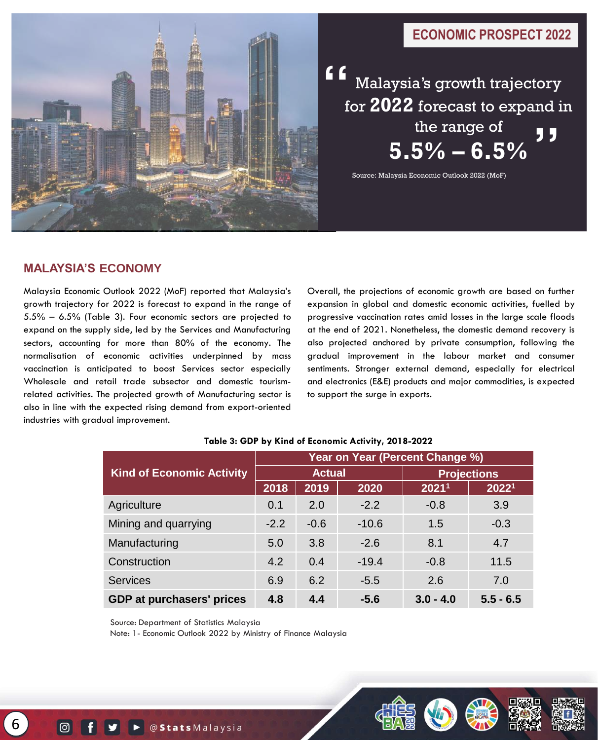### **ECONOMIC PROSPECT 2022**



Malaysia's growth trajectory for **2022** forecast to expand in the range of **5.5% – 6.5%**  "

Source: Malaysia Economic Outlook 2022 (MoF)

### **MALAYSIA'S ECONOMY**

Malaysia Economic Outlook 2022 (MoF) reported that Malaysia's growth trajectory for 2022 is forecast to expand in the range of 5.5% – 6.5% (Table 3). Four economic sectors are projected to expand on the supply side, led by the Services and Manufacturing sectors, accounting for more than 80% of the economy. The normalisation of economic activities underpinned by mass vaccination is anticipated to boost Services sector especially Wholesale and retail trade subsector and domestic tourismrelated activities. The projected growth of Manufacturing sector is also in line with the expected rising demand from export-oriented industries with gradual improvement.

Overall, the projections of economic growth are based on further expansion in global and domestic economic activities, fuelled by progressive vaccination rates amid losses in the large scale floods at the end of 2021. Nonetheless, the domestic demand recovery is also projected anchored by private consumption, following the gradual improvement in the labour market and consumer sentiments. Stronger external demand, especially for electrical and electronics (E&E) products and major commodities, is expected to support the surge in exports.

|                                  | Year on Year (Percent Change %) |        |         |                    |             |
|----------------------------------|---------------------------------|--------|---------|--------------------|-------------|
| <b>Kind of Economic Activity</b> | <b>Actual</b>                   |        |         | <b>Projections</b> |             |
|                                  | 2018                            | 2019   | 2020    | 20211              | 20221       |
| Agriculture                      | 0.1                             | 2.0    | $-2.2$  | $-0.8$             | 3.9         |
| Mining and quarrying             | $-2.2$                          | $-0.6$ | $-10.6$ | 1.5                | $-0.3$      |
| Manufacturing                    | 5.0                             | 3.8    | $-2.6$  | 8.1                | 4.7         |
| Construction                     | 4.2                             | 0.4    | $-19.4$ | $-0.8$             | 11.5        |
| <b>Services</b>                  | 6.9                             | 6.2    | $-5.5$  | 2.6                | 7.0         |
| <b>GDP at purchasers' prices</b> | 4.8                             | 4.4    | $-5.6$  | $3.0 - 4.0$        | $5.5 - 6.5$ |

#### **Table 3: GDP by Kind of Economic Activity, 2018-2022**

Source: Department of Statistics Malaysia

Note: 1- Economic Outlook 2022 by Ministry of Finance Malaysia